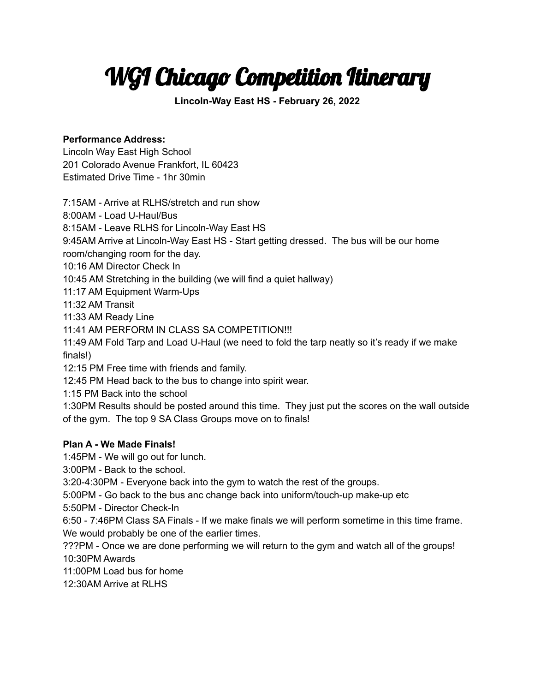# WGI Chicago Competition Itinerary

**Lincoln-Way East HS - February 26, 2022**

## **Performance Address:**

Lincoln Way East High School 201 Colorado Avenue Frankfort, IL 60423 Estimated Drive Time - 1hr 30min

7:15AM - Arrive at RLHS/stretch and run show 8:00AM - Load U-Haul/Bus 8:15AM - Leave RLHS for Lincoln-Way East HS 9:45AM Arrive at Lincoln-Way East HS - Start getting dressed. The bus will be our home room/changing room for the day. 10:16 AM Director Check In 10:45 AM Stretching in the building (we will find a quiet hallway) 11:17 AM Equipment Warm-Ups 11:32 AM Transit 11:33 AM Ready Line 11:41 AM PERFORM IN CLASS SA COMPETITION!!! 11:49 AM Fold Tarp and Load U-Haul (we need to fold the tarp neatly so it's ready if we make finals!) 12:15 PM Free time with friends and family. 12:45 PM Head back to the bus to change into spirit wear. 1:15 PM Back into the school 1:30PM Results should be posted around this time. They just put the scores on the wall outside of the gym. The top 9 SA Class Groups move on to finals!

### **Plan A - We Made Finals!**

1:45PM - We will go out for lunch.

3:00PM - Back to the school.

3:20-4:30PM - Everyone back into the gym to watch the rest of the groups.

5:00PM - Go back to the bus anc change back into uniform/touch-up make-up etc

5:50PM - Director Check-In

6:50 - 7:46PM Class SA Finals - If we make finals we will perform sometime in this time frame. We would probably be one of the earlier times.

???PM - Once we are done performing we will return to the gym and watch all of the groups! 10:30PM Awards

11:00PM Load bus for home

12:30AM Arrive at RLHS